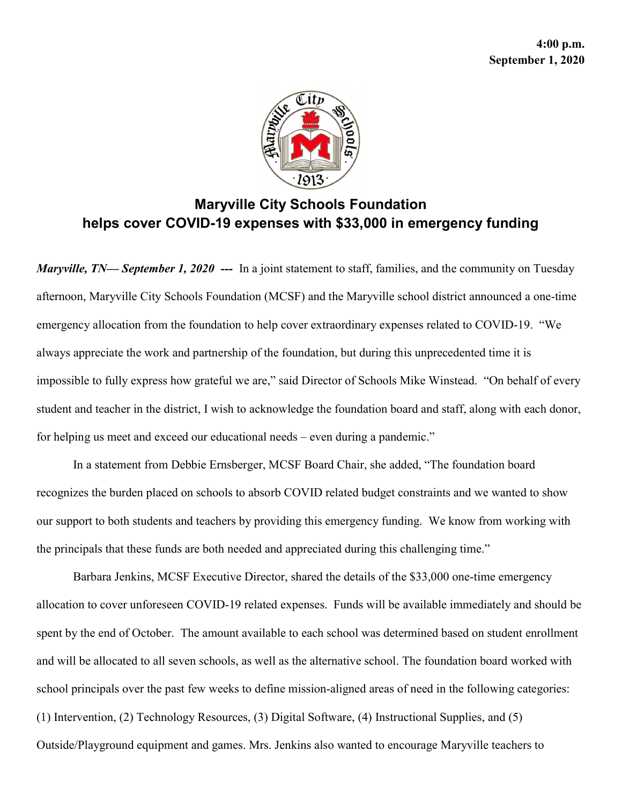

## Maryville City Schools Foundation helps cover COVID-19 expenses with \$33,000 in emergency funding

Maryville, TN— September 1, 2020 --- In a joint statement to staff, families, and the community on Tuesday afternoon, Maryville City Schools Foundation (MCSF) and the Maryville school district announced a one-time emergency allocation from the foundation to help cover extraordinary expenses related to COVID-19. "We always appreciate the work and partnership of the foundation, but during this unprecedented time it is impossible to fully express how grateful we are," said Director of Schools Mike Winstead. "On behalf of every student and teacher in the district, I wish to acknowledge the foundation board and staff, along with each donor, for helping us meet and exceed our educational needs – even during a pandemic."

In a statement from Debbie Ernsberger, MCSF Board Chair, she added, "The foundation board recognizes the burden placed on schools to absorb COVID related budget constraints and we wanted to show our support to both students and teachers by providing this emergency funding. We know from working with the principals that these funds are both needed and appreciated during this challenging time."

Barbara Jenkins, MCSF Executive Director, shared the details of the \$33,000 one-time emergency allocation to cover unforeseen COVID-19 related expenses. Funds will be available immediately and should be spent by the end of October. The amount available to each school was determined based on student enrollment and will be allocated to all seven schools, as well as the alternative school. The foundation board worked with school principals over the past few weeks to define mission-aligned areas of need in the following categories: (1) Intervention, (2) Technology Resources, (3) Digital Software, (4) Instructional Supplies, and (5) Outside/Playground equipment and games. Mrs. Jenkins also wanted to encourage Maryville teachers to